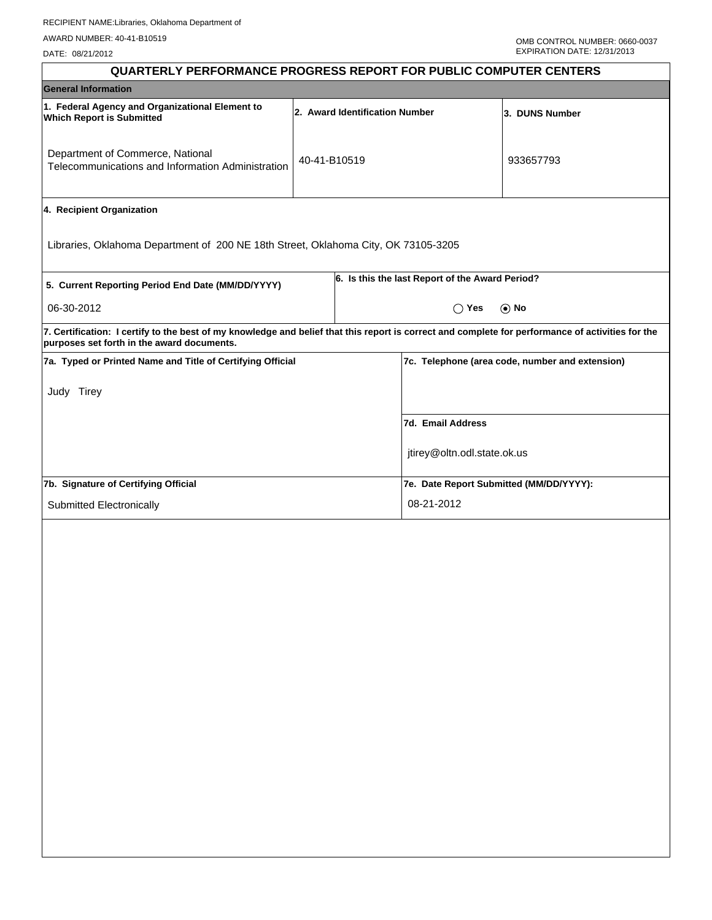DATE: 08/21/2012

| <b>QUARTERLY PERFORMANCE PROGRESS REPORT FOR PUBLIC COMPUTER CENTERS</b>                                                                                                                        |                                |  |                                                 |            |
|-------------------------------------------------------------------------------------------------------------------------------------------------------------------------------------------------|--------------------------------|--|-------------------------------------------------|------------|
| <b>General Information</b>                                                                                                                                                                      |                                |  |                                                 |            |
| 1. Federal Agency and Organizational Element to<br><b>Which Report is Submitted</b>                                                                                                             | 2. Award Identification Number |  |                                                 |            |
| Department of Commerce, National<br>Telecommunications and Information Administration                                                                                                           | 40-41-B10519                   |  |                                                 | 933657793  |
| 4. Recipient Organization                                                                                                                                                                       |                                |  |                                                 |            |
| Libraries, Oklahoma Department of 200 NE 18th Street, Oklahoma City, OK 73105-3205                                                                                                              |                                |  |                                                 |            |
| 5. Current Reporting Period End Date (MM/DD/YYYY)                                                                                                                                               |                                |  | 6. Is this the last Report of the Award Period? |            |
| 06-30-2012                                                                                                                                                                                      |                                |  | $\bigcirc$ Yes                                  | $\odot$ No |
| 7. Certification: I certify to the best of my knowledge and belief that this report is correct and complete for performance of activities for the<br>purposes set forth in the award documents. |                                |  |                                                 |            |
| 7a. Typed or Printed Name and Title of Certifying Official                                                                                                                                      |                                |  | 7c. Telephone (area code, number and extension) |            |
| Judy Tirey                                                                                                                                                                                      |                                |  |                                                 |            |
|                                                                                                                                                                                                 |                                |  | 7d. Email Address                               |            |
|                                                                                                                                                                                                 |                                |  | jtirey@oltn.odl.state.ok.us                     |            |
| 7b. Signature of Certifying Official                                                                                                                                                            |                                |  | 7e. Date Report Submitted (MM/DD/YYYY):         |            |
| Submitted Electronically                                                                                                                                                                        |                                |  | 08-21-2012                                      |            |
|                                                                                                                                                                                                 |                                |  |                                                 |            |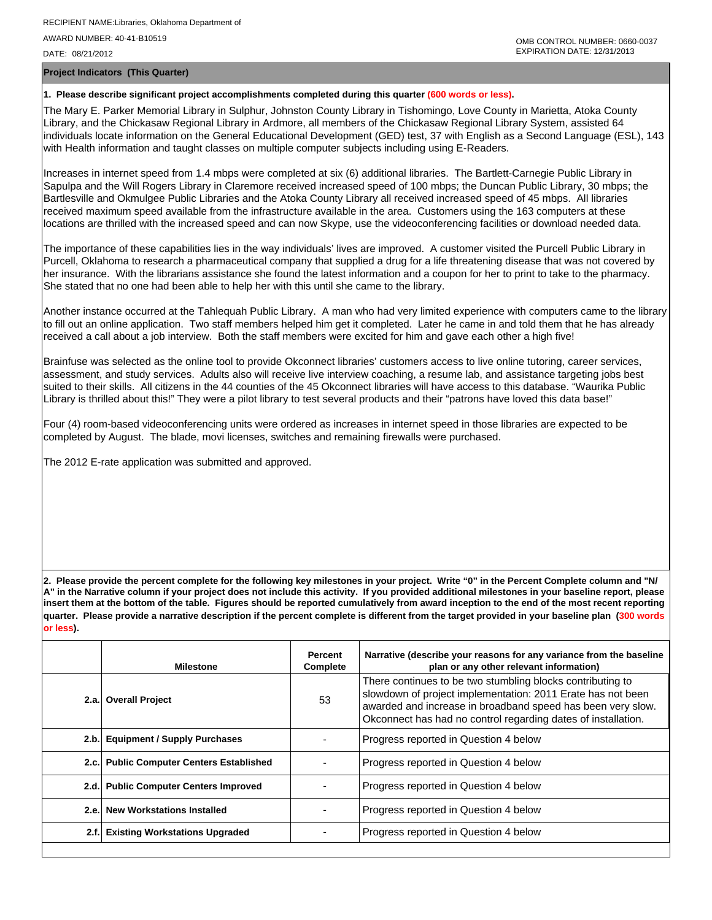DATE: 08/21/2012

**Project Indicators (This Quarter)**

## **1. Please describe significant project accomplishments completed during this quarter (600 words or less).**

The Mary E. Parker Memorial Library in Sulphur, Johnston County Library in Tishomingo, Love County in Marietta, Atoka County Library, and the Chickasaw Regional Library in Ardmore, all members of the Chickasaw Regional Library System, assisted 64 individuals locate information on the General Educational Development (GED) test, 37 with English as a Second Language (ESL), 143 with Health information and taught classes on multiple computer subjects including using E-Readers.

Increases in internet speed from 1.4 mbps were completed at six (6) additional libraries. The Bartlett-Carnegie Public Library in Sapulpa and the Will Rogers Library in Claremore received increased speed of 100 mbps; the Duncan Public Library, 30 mbps; the Bartlesville and Okmulgee Public Libraries and the Atoka County Library all received increased speed of 45 mbps. All libraries received maximum speed available from the infrastructure available in the area. Customers using the 163 computers at these locations are thrilled with the increased speed and can now Skype, use the videoconferencing facilities or download needed data.

The importance of these capabilities lies in the way individuals' lives are improved. A customer visited the Purcell Public Library in Purcell, Oklahoma to research a pharmaceutical company that supplied a drug for a life threatening disease that was not covered by her insurance. With the librarians assistance she found the latest information and a coupon for her to print to take to the pharmacy. She stated that no one had been able to help her with this until she came to the library.

Another instance occurred at the Tahlequah Public Library. A man who had very limited experience with computers came to the library to fill out an online application. Two staff members helped him get it completed. Later he came in and told them that he has already received a call about a job interview. Both the staff members were excited for him and gave each other a high five!

Brainfuse was selected as the online tool to provide Okconnect libraries' customers access to live online tutoring, career services, assessment, and study services. Adults also will receive live interview coaching, a resume lab, and assistance targeting jobs best suited to their skills. All citizens in the 44 counties of the 45 Okconnect libraries will have access to this database. "Waurika Public Library is thrilled about this!" They were a pilot library to test several products and their "patrons have loved this data base!"

Four (4) room-based videoconferencing units were ordered as increases in internet speed in those libraries are expected to be completed by August. The blade, movi licenses, switches and remaining firewalls were purchased.

The 2012 E-rate application was submitted and approved.

**2. Please provide the percent complete for the following key milestones in your project. Write "0" in the Percent Complete column and "N/ A" in the Narrative column if your project does not include this activity. If you provided additional milestones in your baseline report, please insert them at the bottom of the table. Figures should be reported cumulatively from award inception to the end of the most recent reporting quarter. Please provide a narrative description if the percent complete is different from the target provided in your baseline plan (300 words or less).**

| <b>Milestone</b>                         | Percent<br>Complete | Narrative (describe your reasons for any variance from the baseline<br>plan or any other relevant information)                                                                                                                                            |
|------------------------------------------|---------------------|-----------------------------------------------------------------------------------------------------------------------------------------------------------------------------------------------------------------------------------------------------------|
| 2.a. Overall Project                     | 53                  | There continues to be two stumbling blocks contributing to<br>slowdown of project implementation: 2011 Erate has not been<br>awarded and increase in broadband speed has been very slow.<br>Okconnect has had no control regarding dates of installation. |
| 2.b. Equipment / Supply Purchases        |                     | Progress reported in Question 4 below                                                                                                                                                                                                                     |
| 2.c. Public Computer Centers Established |                     | Progress reported in Question 4 below                                                                                                                                                                                                                     |
| 2.d. Public Computer Centers Improved    |                     | Progress reported in Question 4 below                                                                                                                                                                                                                     |
| 2.e. New Workstations Installed          |                     | Progress reported in Question 4 below                                                                                                                                                                                                                     |
| 2.f. Existing Workstations Upgraded      |                     | Progress reported in Question 4 below                                                                                                                                                                                                                     |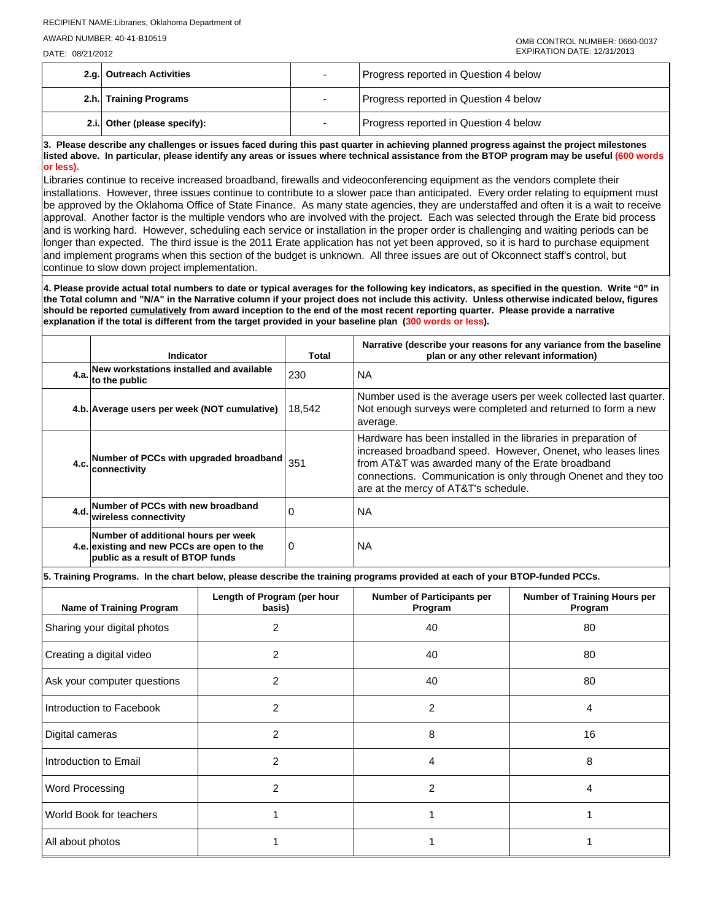DATE: 08/21/2012

| 2.g. Outreach Activities     | Progress reported in Question 4 below |  |
|------------------------------|---------------------------------------|--|
| 2.h. Training Programs       | Progress reported in Question 4 below |  |
| 2.i. Other (please specify): | Progress reported in Question 4 below |  |

**3. Please describe any challenges or issues faced during this past quarter in achieving planned progress against the project milestones listed above. In particular, please identify any areas or issues where technical assistance from the BTOP program may be useful (600 words or less).**

Libraries continue to receive increased broadband, firewalls and videoconferencing equipment as the vendors complete their installations. However, three issues continue to contribute to a slower pace than anticipated. Every order relating to equipment must be approved by the Oklahoma Office of State Finance. As many state agencies, they are understaffed and often it is a wait to receive approval. Another factor is the multiple vendors who are involved with the project. Each was selected through the Erate bid process and is working hard. However, scheduling each service or installation in the proper order is challenging and waiting periods can be longer than expected. The third issue is the 2011 Erate application has not yet been approved, so it is hard to purchase equipment and implement programs when this section of the budget is unknown. All three issues are out of Okconnect staff's control, but continue to slow down project implementation.

**4. Please provide actual total numbers to date or typical averages for the following key indicators, as specified in the question. Write "0" in the Total column and "N/A" in the Narrative column if your project does not include this activity. Unless otherwise indicated below, figures should be reported cumulatively from award inception to the end of the most recent reporting quarter. Please provide a narrative explanation if the total is different from the target provided in your baseline plan (300 words or less).** 

| Indicator                                                                                                                  |                                       | Total    | Narrative (describe your reasons for any variance from the baseline<br>plan or any other relevant information)                                                                                                                                                                                |                                                |  |  |  |
|----------------------------------------------------------------------------------------------------------------------------|---------------------------------------|----------|-----------------------------------------------------------------------------------------------------------------------------------------------------------------------------------------------------------------------------------------------------------------------------------------------|------------------------------------------------|--|--|--|
| 4.a. New workstations installed and available<br>4.a. to the public                                                        |                                       | 230      | <b>NA</b>                                                                                                                                                                                                                                                                                     |                                                |  |  |  |
| 4.b. Average users per week (NOT cumulative)                                                                               |                                       | 18,542   | Number used is the average users per week collected last quarter.<br>Not enough surveys were completed and returned to form a new<br>average.                                                                                                                                                 |                                                |  |  |  |
| 4.c. Number of PCCs with upgraded broadband<br>lconnectivitv                                                               |                                       | 351      | Hardware has been installed in the libraries in preparation of<br>increased broadband speed. However, Onenet, who leases lines<br>from AT&T was awarded many of the Erate broadband<br>connections. Communication is only through Onenet and they too<br>are at the mercy of AT&T's schedule. |                                                |  |  |  |
| 4.d. Number of PCCs with new broadband<br>wireless connectivity                                                            |                                       | $\Omega$ | <b>NA</b>                                                                                                                                                                                                                                                                                     |                                                |  |  |  |
| Number of additional hours per week<br>4.e. existing and new PCCs are open to the<br>0<br>public as a result of BTOP funds |                                       |          | <b>NA</b>                                                                                                                                                                                                                                                                                     |                                                |  |  |  |
|                                                                                                                            |                                       |          | 5. Training Programs. In the chart below, please describe the training programs provided at each of your BTOP-funded PCCs.                                                                                                                                                                    |                                                |  |  |  |
| Name of Training Program                                                                                                   | Length of Program (per hour<br>basis) |          | <b>Number of Participants per</b><br>Program                                                                                                                                                                                                                                                  | <b>Number of Training Hours per</b><br>Program |  |  |  |
|                                                                                                                            |                                       |          |                                                                                                                                                                                                                                                                                               |                                                |  |  |  |

| <b>Name of Training Program</b> | $\mathbf{u}$<br>basis) | Program        | .<br>Program |
|---------------------------------|------------------------|----------------|--------------|
| Sharing your digital photos     | $\overline{2}$         | 40             | 80           |
| Creating a digital video        | 2                      | 40             | 80           |
| Ask your computer questions     | 2                      | 40             | 80           |
| Introduction to Facebook        | 2                      | 2              | 4            |
| Digital cameras                 | 2                      | 8              | 16           |
| Introduction to Email           | $\overline{2}$         | 4              | 8            |
| <b>Word Processing</b>          | $\overline{c}$         | $\overline{2}$ | 4            |
| World Book for teachers         |                        |                |              |
| All about photos                |                        |                |              |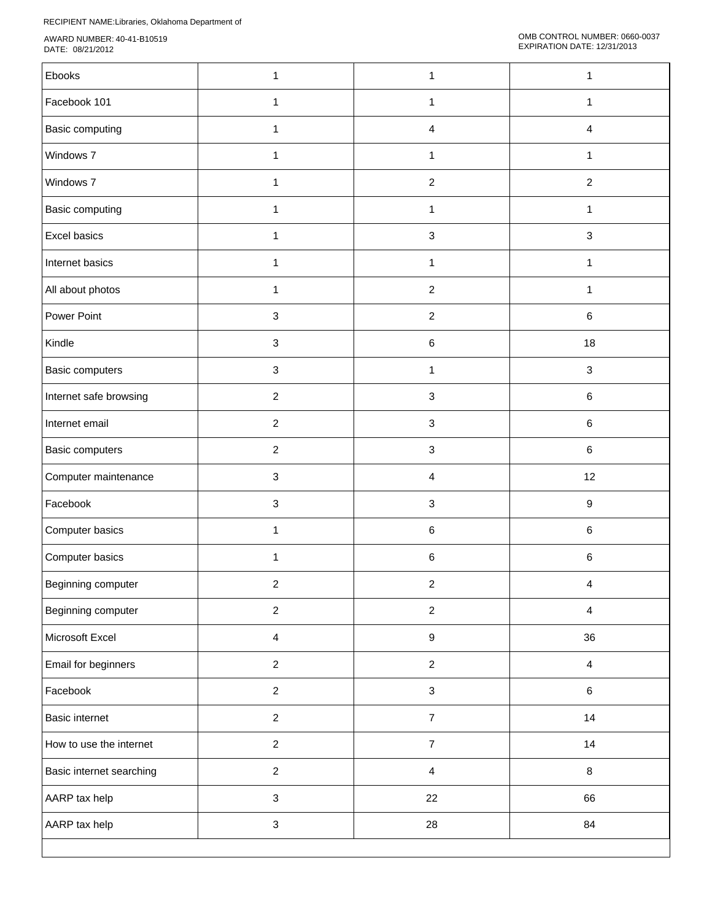RECIPIENT NAME:Libraries, Oklahoma Department of

AWARD NUMBER: 40-41-B10519 DATE: 08/21/2012

| Ebooks                   | 1                         | 1                | 1                       |
|--------------------------|---------------------------|------------------|-------------------------|
| Facebook 101             | $\mathbf{1}$              | $\mathbf{1}$     | $\mathbf{1}$            |
| Basic computing          | $\mathbf{1}$              | $\overline{4}$   | $\overline{\mathbf{4}}$ |
| Windows 7                | $\mathbf{1}$              | $\mathbf{1}$     | 1                       |
| Windows 7                | 1                         | $\boldsymbol{2}$ | $\boldsymbol{2}$        |
| Basic computing          | 1                         | 1                | 1                       |
| Excel basics             | 1                         | $\sqrt{3}$       | $\sqrt{3}$              |
| Internet basics          | $\mathbf{1}$              | $\mathbf{1}$     | 1                       |
| All about photos         | 1                         | $\boldsymbol{2}$ | 1                       |
| Power Point              | $\mathsf 3$               | $\overline{2}$   | $\,6\,$                 |
| Kindle                   | $\sqrt{3}$                | $\,6\,$          | 18                      |
| Basic computers          | 3                         | 1                | $\sqrt{3}$              |
| Internet safe browsing   | $\overline{2}$            | $\sqrt{3}$       | $\,6\,$                 |
| Internet email           | $\sqrt{2}$                | $\sqrt{3}$       | $\,6\,$                 |
| Basic computers          | $\sqrt{2}$                | $\mathbf{3}$     | $\,6\,$                 |
| Computer maintenance     | $\sqrt{3}$                | $\overline{4}$   | 12                      |
| Facebook                 | $\sqrt{3}$                | $\mathbf{3}$     | $\boldsymbol{9}$        |
| Computer basics          | 1                         | $\,6\,$          | $\,6\,$                 |
| Computer basics          | 1                         | $\,6\,$          | $\,6\,$                 |
| Beginning computer       | 2                         | $\overline{2}$   | 4                       |
| Beginning computer       | $\overline{2}$            | $\boldsymbol{2}$ | $\overline{4}$          |
| Microsoft Excel          | $\overline{\mathbf{4}}$   | $\boldsymbol{9}$ | 36                      |
| Email for beginners      | $\overline{c}$            | $\boldsymbol{2}$ | $\overline{4}$          |
| Facebook                 | $\overline{c}$            | $\mathsf 3$      | $\,6\,$                 |
| <b>Basic internet</b>    | $\overline{2}$            | $\overline{7}$   | 14                      |
| How to use the internet  | $\overline{2}$            | $\overline{7}$   | 14                      |
| Basic internet searching | $\sqrt{2}$                | $\overline{4}$   | $\bf 8$                 |
| AARP tax help            | $\mathbf{3}$              | 22               | 66                      |
| AARP tax help            | $\ensuremath{\mathsf{3}}$ | 28               | 84                      |
|                          |                           |                  |                         |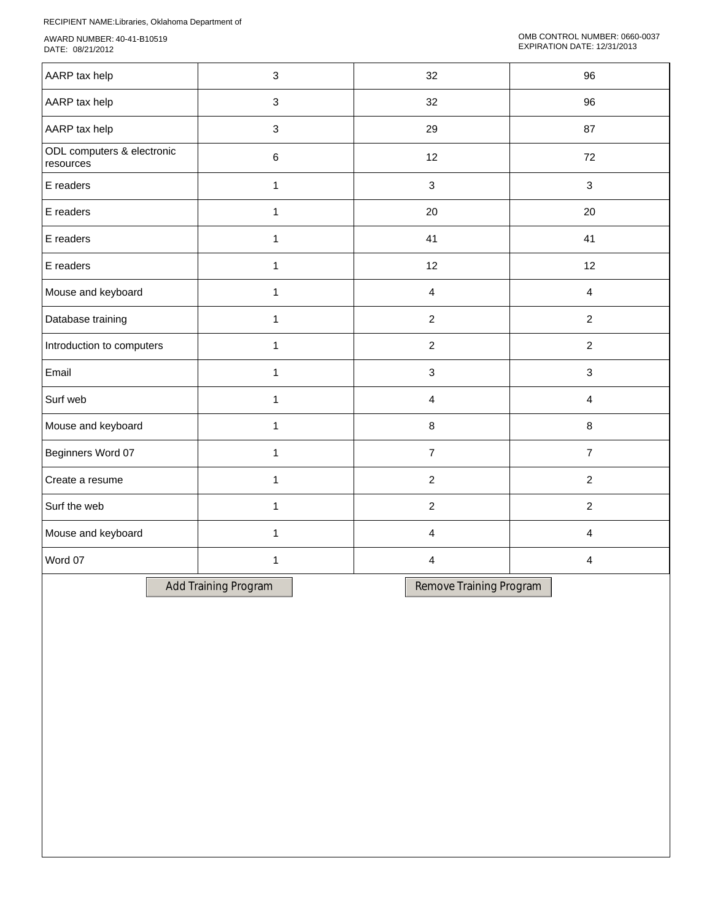RECIPIENT NAME:Libraries, Oklahoma Department of

AWARD NUMBER: 40-41-B10519 DATE: 08/21/2012

| AARP tax help                           | $\sqrt{3}$           | 32             |                         |                | 96             |  |
|-----------------------------------------|----------------------|----------------|-------------------------|----------------|----------------|--|
| AARP tax help                           | 3                    |                | 32                      |                | 96             |  |
| AARP tax help                           | 3                    |                | 29                      |                | 87             |  |
| ODL computers & electronic<br>resources | $\,6$                |                | 12                      |                | 72             |  |
| E readers                               | $\mathbf{1}$         |                | 3                       |                | 3              |  |
| E readers                               | $\mathbf{1}$         |                | 20                      |                | 20             |  |
| E readers                               | $\mathbf{1}$         |                | 41                      |                | 41             |  |
| E readers                               | $\mathbf{1}$         |                | 12                      |                | 12             |  |
| Mouse and keyboard                      | $\mathbf{1}$         |                | 4                       |                | $\overline{4}$ |  |
| Database training                       | $\mathbf{1}$         |                | $\boldsymbol{2}$        |                | $\overline{c}$ |  |
| Introduction to computers               | $\mathbf{1}$         | $\overline{c}$ |                         |                | $\overline{2}$ |  |
| Email                                   | $\mathbf{1}$         | 3              |                         |                | 3              |  |
| Surf web                                | $\mathbf{1}$         | 4              |                         | $\overline{4}$ |                |  |
| Mouse and keyboard                      | $\mathbf{1}$         |                | $\, 8$                  |                | $\bf 8$        |  |
| Beginners Word 07                       | $\mathbf{1}$         |                | $\overline{7}$          |                | $\overline{7}$ |  |
| Create a resume                         | 1                    | $\overline{c}$ |                         |                | $\overline{2}$ |  |
| Surf the web                            | $\mathbf{1}$         | $\overline{2}$ |                         |                | $\overline{2}$ |  |
| Mouse and keyboard                      | $\mathbf{1}$         | 4              |                         |                | $\overline{4}$ |  |
| Word 07                                 | $\mathbf{1}$         |                | $\overline{\mathbf{4}}$ |                | 4              |  |
|                                         | Add Training Program |                | Remove Training Program |                |                |  |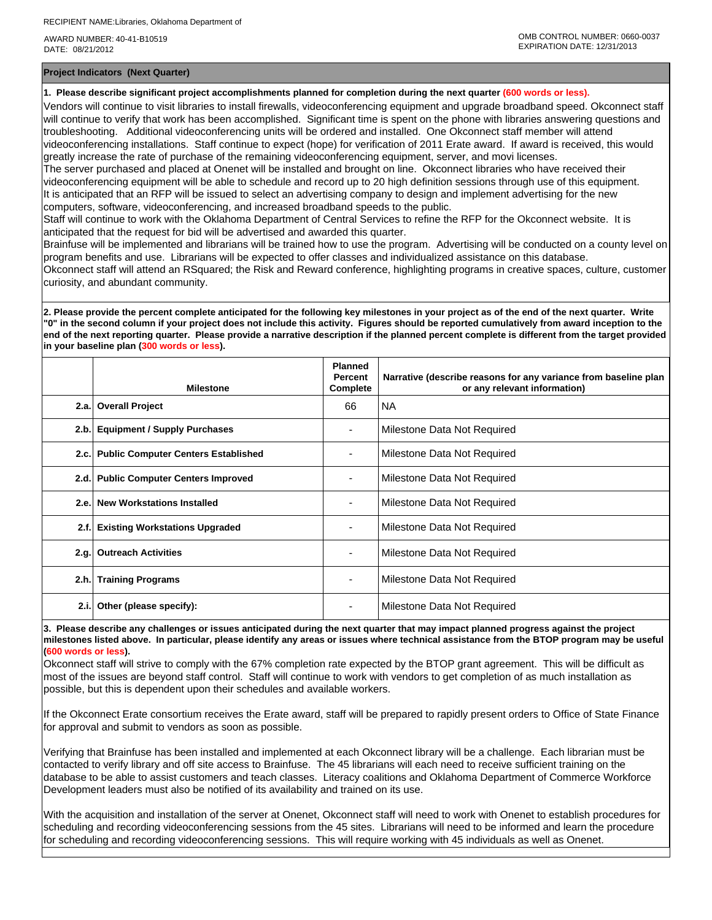AWARD NUMBER: 40-41-B10519 DATE: 08/21/2012

**Project Indicators (Next Quarter)**

**1. Please describe significant project accomplishments planned for completion during the next quarter (600 words or less).**

Vendors will continue to visit libraries to install firewalls, videoconferencing equipment and upgrade broadband speed. Okconnect staff will continue to verify that work has been accomplished. Significant time is spent on the phone with libraries answering questions and troubleshooting. Additional videoconferencing units will be ordered and installed. One Okconnect staff member will attend videoconferencing installations. Staff continue to expect (hope) for verification of 2011 Erate award. If award is received, this would

greatly increase the rate of purchase of the remaining videoconferencing equipment, server, and movi licenses.

The server purchased and placed at Onenet will be installed and brought on line. Okconnect libraries who have received their videoconferencing equipment will be able to schedule and record up to 20 high definition sessions through use of this equipment. It is anticipated that an RFP will be issued to select an advertising company to design and implement advertising for the new computers, software, videoconferencing, and increased broadband speeds to the public.

Staff will continue to work with the Oklahoma Department of Central Services to refine the RFP for the Okconnect website. It is anticipated that the request for bid will be advertised and awarded this quarter.

Brainfuse will be implemented and librarians will be trained how to use the program. Advertising will be conducted on a county level on program benefits and use. Librarians will be expected to offer classes and individualized assistance on this database.

Okconnect staff will attend an RSquared; the Risk and Reward conference, highlighting programs in creative spaces, culture, customer curiosity, and abundant community.

**2. Please provide the percent complete anticipated for the following key milestones in your project as of the end of the next quarter. Write "0" in the second column if your project does not include this activity. Figures should be reported cumulatively from award inception to the end of the next reporting quarter. Please provide a narrative description if the planned percent complete is different from the target provided in your baseline plan (300 words or less).**

|      | <b>Milestone</b>                         | <b>Planned</b><br>Percent<br>Complete | Narrative (describe reasons for any variance from baseline plan<br>or any relevant information) |
|------|------------------------------------------|---------------------------------------|-------------------------------------------------------------------------------------------------|
|      | 2.a. Overall Project                     | 66                                    | <b>NA</b>                                                                                       |
| 2.b. | <b>Equipment / Supply Purchases</b>      |                                       | Milestone Data Not Required                                                                     |
|      | 2.c. Public Computer Centers Established |                                       | Milestone Data Not Required                                                                     |
|      | 2.d. Public Computer Centers Improved    |                                       | Milestone Data Not Required                                                                     |
| 2.e. | New Workstations Installed               |                                       | Milestone Data Not Required                                                                     |
| 2.f. | <b>Existing Workstations Upgraded</b>    |                                       | Milestone Data Not Required                                                                     |
| 2.g. | <b>Outreach Activities</b>               | ۰                                     | Milestone Data Not Required                                                                     |
| 2.h. | <b>Training Programs</b>                 |                                       | Milestone Data Not Required                                                                     |
| 2.i. | Other (please specify):                  |                                       | Milestone Data Not Required                                                                     |

**3. Please describe any challenges or issues anticipated during the next quarter that may impact planned progress against the project milestones listed above. In particular, please identify any areas or issues where technical assistance from the BTOP program may be useful (600 words or less).**

Okconnect staff will strive to comply with the 67% completion rate expected by the BTOP grant agreement. This will be difficult as most of the issues are beyond staff control. Staff will continue to work with vendors to get completion of as much installation as possible, but this is dependent upon their schedules and available workers.

If the Okconnect Erate consortium receives the Erate award, staff will be prepared to rapidly present orders to Office of State Finance for approval and submit to vendors as soon as possible.

Verifying that Brainfuse has been installed and implemented at each Okconnect library will be a challenge. Each librarian must be contacted to verify library and off site access to Brainfuse. The 45 librarians will each need to receive sufficient training on the database to be able to assist customers and teach classes. Literacy coalitions and Oklahoma Department of Commerce Workforce Development leaders must also be notified of its availability and trained on its use.

With the acquisition and installation of the server at Onenet, Okconnect staff will need to work with Onenet to establish procedures for scheduling and recording videoconferencing sessions from the 45 sites. Librarians will need to be informed and learn the procedure for scheduling and recording videoconferencing sessions. This will require working with 45 individuals as well as Onenet.